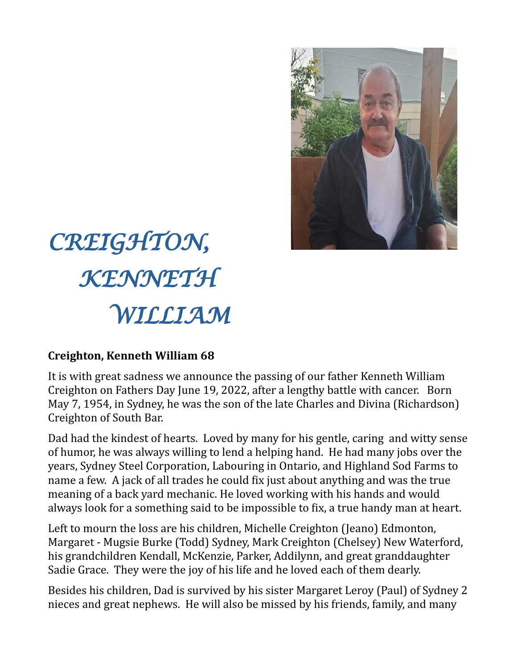

## *CREIGHTON, KENNETH WILLIAM*

## **Creighton, Kenneth William 68**

It is with great sadness we announce the passing of our father Kenneth William Creighton on Fathers Day June 19, 2022, after a lengthy battle with cancer. Born May 7, 1954, in Sydney, he was the son of the late Charles and Divina (Richardson) Creighton of South Bar.

Dad had the kindest of hearts. Loved by many for his gentle, caring and witty sense of humor, he was always willing to lend a helping hand. He had many jobs over the years, Sydney Steel Corporation, Labouring in Ontario, and Highland Sod Farms to name a few. A jack of all trades he could fix just about anything and was the true meaning of a back yard mechanic. He loved working with his hands and would always look for a something said to be impossible to fix, a true handy man at heart.

Left to mourn the loss are his children, Michelle Creighton (Jeano) Edmonton, Margaret - Mugsie Burke (Todd) Sydney, Mark Creighton (Chelsey) New Waterford, his grandchildren Kendall, McKenzie, Parker, Addilynn, and great granddaughter Sadie Grace. They were the joy of his life and he loved each of them dearly.

Besides his children, Dad is survived by his sister Margaret Leroy (Paul) of Sydney 2 nieces and great nephews. He will also be missed by his friends, family, and many